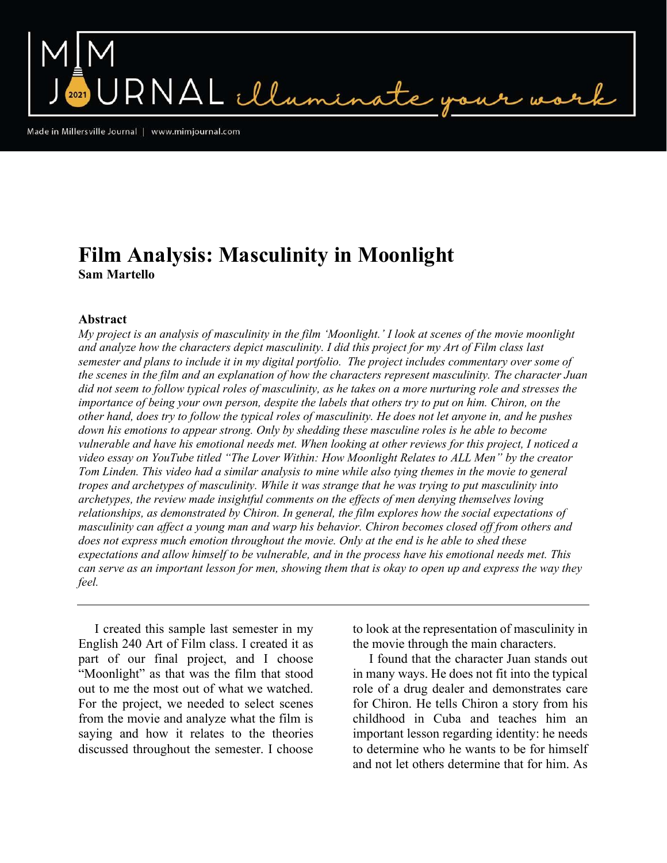NAL illumin

Made in Millersville Journal | www.mimjournal.com

## Film Analysis: Masculinity in Moonlight Sam Martello

## Abstract

My project is an analysis of masculinity in the film 'Moonlight.' I look at scenes of the movie moonlight and analyze how the characters depict masculinity. I did this project for my Art of Film class last semester and plans to include it in my digital portfolio. The project includes commentary over some of the scenes in the film and an explanation of how the characters represent masculinity. The character Juan did not seem to follow typical roles of masculinity, as he takes on a more nurturing role and stresses the importance of being your own person, despite the labels that others try to put on him. Chiron, on the other hand, does try to follow the typical roles of masculinity. He does not let anyone in, and he pushes down his emotions to appear strong. Only by shedding these masculine roles is he able to become vulnerable and have his emotional needs met. When looking at other reviews for this project, I noticed a video essay on YouTube titled "The Lover Within: How Moonlight Relates to ALL Men" by the creator Tom Linden. This video had a similar analysis to mine while also tying themes in the movie to general tropes and archetypes of masculinity. While it was strange that he was trying to put masculinity into archetypes, the review made insightful comments on the effects of men denying themselves loving relationships, as demonstrated by Chiron. In general, the film explores how the social expectations of masculinity can affect a young man and warp his behavior. Chiron becomes closed off from others and does not express much emotion throughout the movie. Only at the end is he able to shed these expectations and allow himself to be vulnerable, and in the process have his emotional needs met. This can serve as an important lesson for men, showing them that is okay to open up and express the way they feel.

 I created this sample last semester in my English 240 Art of Film class. I created it as part of our final project, and I choose "Moonlight" as that was the film that stood out to me the most out of what we watched. For the project, we needed to select scenes from the movie and analyze what the film is saying and how it relates to the theories discussed throughout the semester. I choose to look at the representation of masculinity in the movie through the main characters.

 I found that the character Juan stands out in many ways. He does not fit into the typical role of a drug dealer and demonstrates care for Chiron. He tells Chiron a story from his childhood in Cuba and teaches him an important lesson regarding identity: he needs to determine who he wants to be for himself and not let others determine that for him. As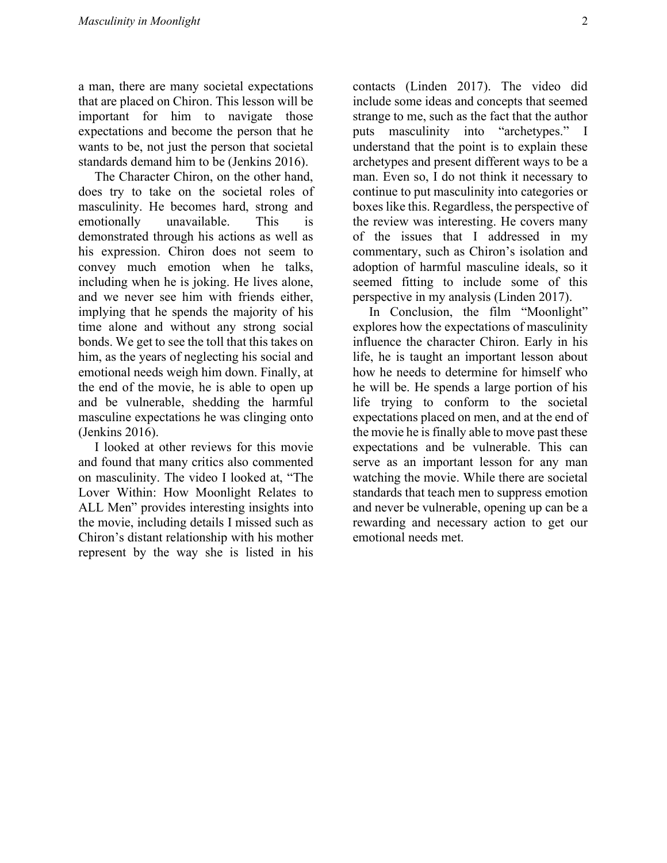a man, there are many societal expectations that are placed on Chiron. This lesson will be important for him to navigate those expectations and become the person that he wants to be, not just the person that societal standards demand him to be (Jenkins 2016).

 The Character Chiron, on the other hand, does try to take on the societal roles of masculinity. He becomes hard, strong and emotionally unavailable. This is demonstrated through his actions as well as his expression. Chiron does not seem to convey much emotion when he talks, including when he is joking. He lives alone, and we never see him with friends either, implying that he spends the majority of his time alone and without any strong social bonds. We get to see the toll that this takes on him, as the years of neglecting his social and emotional needs weigh him down. Finally, at the end of the movie, he is able to open up and be vulnerable, shedding the harmful masculine expectations he was clinging onto (Jenkins 2016).

 I looked at other reviews for this movie and found that many critics also commented on masculinity. The video I looked at, "The Lover Within: How Moonlight Relates to ALL Men" provides interesting insights into the movie, including details I missed such as Chiron's distant relationship with his mother represent by the way she is listed in his contacts (Linden 2017). The video did include some ideas and concepts that seemed strange to me, such as the fact that the author puts masculinity into "archetypes." I understand that the point is to explain these archetypes and present different ways to be a man. Even so, I do not think it necessary to continue to put masculinity into categories or boxes like this. Regardless, the perspective of the review was interesting. He covers many of the issues that I addressed in my commentary, such as Chiron's isolation and adoption of harmful masculine ideals, so it seemed fitting to include some of this perspective in my analysis (Linden 2017).

 In Conclusion, the film "Moonlight" explores how the expectations of masculinity influence the character Chiron. Early in his life, he is taught an important lesson about how he needs to determine for himself who he will be. He spends a large portion of his life trying to conform to the societal expectations placed on men, and at the end of the movie he is finally able to move past these expectations and be vulnerable. This can serve as an important lesson for any man watching the movie. While there are societal standards that teach men to suppress emotion and never be vulnerable, opening up can be a rewarding and necessary action to get our emotional needs met.